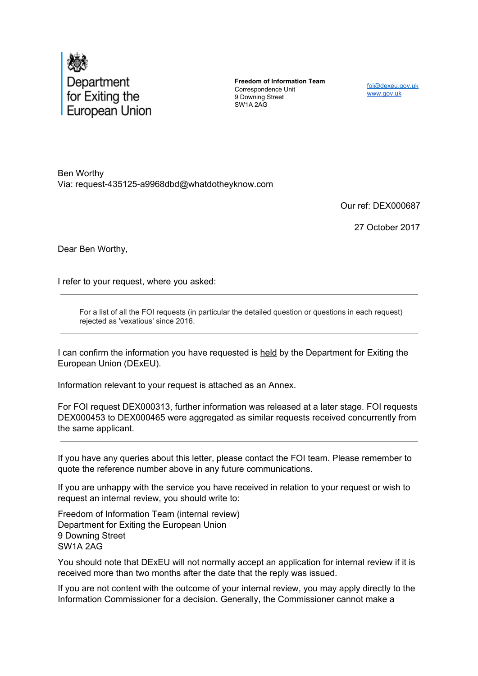

**Freedom of Information Team** Correspondence Unit 9 Downing Street SW1A 2AG

foi@dexeu.gov.uk www.gov.uk

Ben Worthy Via: request-435125-a9968dbd@whatdotheyknow.com

Our ref: DEX000687

27 October 2017

Dear Ben Worthy,

I refer to your request, where you asked:

For a list of all the FOI requests (in particular the detailed question or questions in each request) rejected as 'vexatious' since 2016.

I can confirm the information you have requested is held by the Department for Exiting the European Union (DExEU).

Information relevant to your request is attached as an Annex.

For FOI request DEX000313, further information was released at a later stage. FOI requests DEX000453 to DEX000465 were aggregated as similar requests received concurrently from the same applicant.

If you have any queries about this letter, please contact the FOI team. Please remember to quote the reference number above in any future communications.

If you are unhappy with the service you have received in relation to your request or wish to request an internal review, you should write to:

Freedom of Information Team (internal review) Department for Exiting the European Union 9 Downing Street SW1A 2AG

You should note that DExEU will not normally accept an application for internal review if it is received more than two months after the date that the reply was issued.

If you are not content with the outcome of your internal review, you may apply directly to the Information Commissioner for a decision. Generally, the Commissioner cannot make a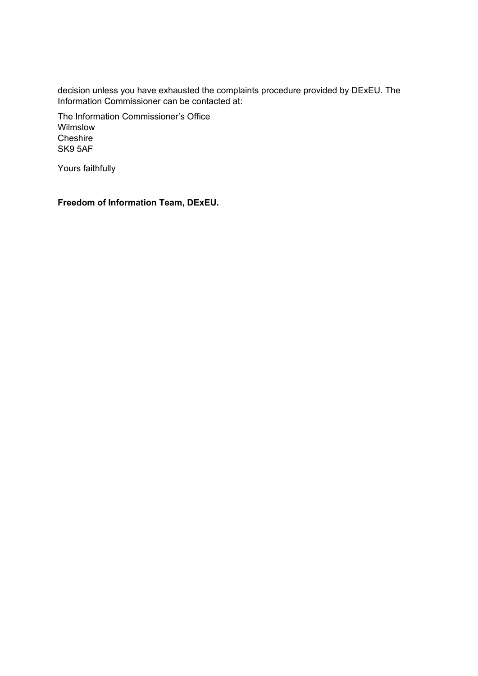decision unless you have exhausted the complaints procedure provided by DExEU. The Information Commissioner can be contacted at:

The Information Commissioner's Office **Wilmslow Cheshire** SK9 5AF

Yours faithfully

**Freedom of Information Team, DExEU.**